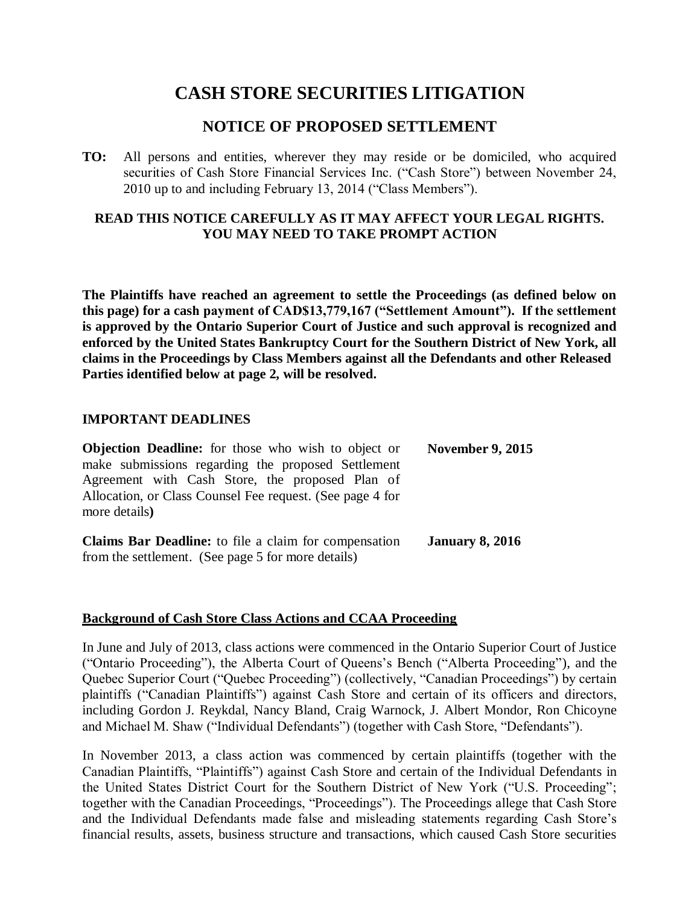# **CASH STORE SECURITIES LITIGATION**

## **NOTICE OF PROPOSED SETTLEMENT**

**TO:** All persons and entities, wherever they may reside or be domiciled, who acquired securities of Cash Store Financial Services Inc. ("Cash Store") between November 24, 2010 up to and including February 13, 2014 ("Class Members").

## **READ THIS NOTICE CAREFULLY AS IT MAY AFFECT YOUR LEGAL RIGHTS. YOU MAY NEED TO TAKE PROMPT ACTION**

**The Plaintiffs have reached an agreement to settle the Proceedings (as defined below on this page) for a cash payment of CAD\$13,779,167 ("Settlement Amount"). If the settlement is approved by the Ontario Superior Court of Justice and such approval is recognized and enforced by the United States Bankruptcy Court for the Southern District of New York, all claims in the Proceedings by Class Members against all the Defendants and other Released Parties identified below at page 2, will be resolved.**

#### **IMPORTANT DEADLINES**

**Objection Deadline:** for those who wish to object or make submissions regarding the proposed Settlement Agreement with Cash Store, the proposed Plan of Allocation, or Class Counsel Fee request. (See page 4 for more details**) November 9, 2015** 

**Claims Bar Deadline:** to file a claim for compensation from the settlement. (See page 5 for more details) **January 8, 2016**

## **Background of Cash Store Class Actions and CCAA Proceeding**

In June and July of 2013, class actions were commenced in the Ontario Superior Court of Justice ("Ontario Proceeding"), the Alberta Court of Queens's Bench ("Alberta Proceeding"), and the Quebec Superior Court ("Quebec Proceeding") (collectively, "Canadian Proceedings") by certain plaintiffs ("Canadian Plaintiffs") against Cash Store and certain of its officers and directors, including Gordon J. Reykdal, Nancy Bland, Craig Warnock, J. Albert Mondor, Ron Chicoyne and Michael M. Shaw ("Individual Defendants") (together with Cash Store, "Defendants").

In November 2013, a class action was commenced by certain plaintiffs (together with the Canadian Plaintiffs, "Plaintiffs") against Cash Store and certain of the Individual Defendants in the United States District Court for the Southern District of New York ("U.S. Proceeding"; together with the Canadian Proceedings, "Proceedings"). The Proceedings allege that Cash Store and the Individual Defendants made false and misleading statements regarding Cash Store's financial results, assets, business structure and transactions, which caused Cash Store securities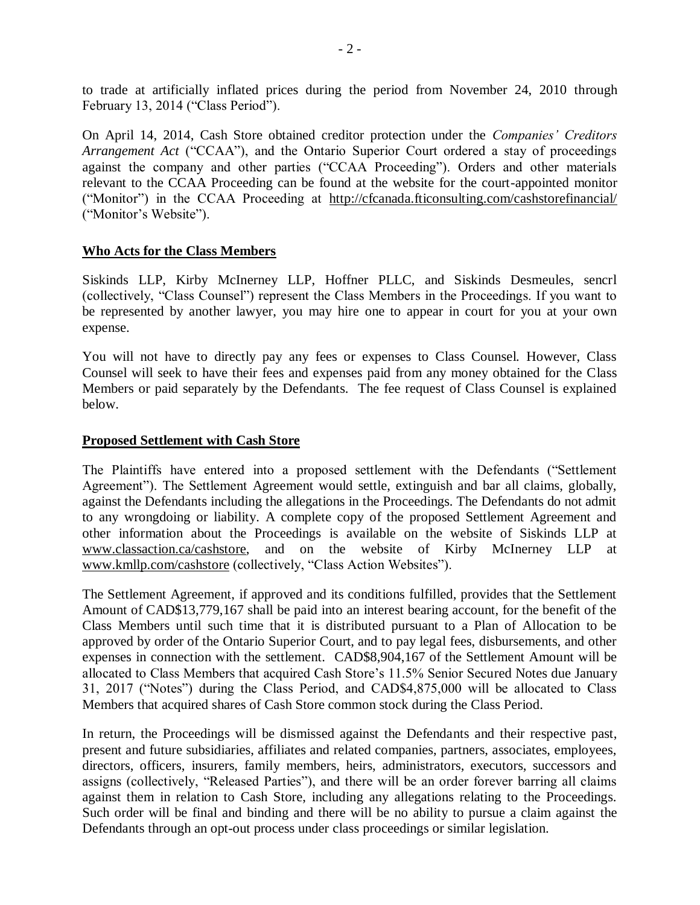to trade at artificially inflated prices during the period from November 24, 2010 through February 13, 2014 ("Class Period").

On April 14, 2014, Cash Store obtained creditor protection under the *Companies' Creditors Arrangement Act* ("CCAA"), and the Ontario Superior Court ordered a stay of proceedings against the company and other parties ("CCAA Proceeding"). Orders and other materials relevant to the CCAA Proceeding can be found at the website for the court-appointed monitor ("Monitor") in the CCAA Proceeding at http://cfcanada.fticonsulting.com/cashstorefinancial/ ("Monitor's Website").

## **Who Acts for the Class Members**

Siskinds LLP, Kirby McInerney LLP, Hoffner PLLC, and Siskinds Desmeules, sencrl (collectively, "Class Counsel") represent the Class Members in the Proceedings. If you want to be represented by another lawyer, you may hire one to appear in court for you at your own expense.

You will not have to directly pay any fees or expenses to Class Counsel. However, Class Counsel will seek to have their fees and expenses paid from any money obtained for the Class Members or paid separately by the Defendants. The fee request of Class Counsel is explained below.

#### **Proposed Settlement with Cash Store**

The Plaintiffs have entered into a proposed settlement with the Defendants ("Settlement Agreement"). The Settlement Agreement would settle, extinguish and bar all claims, globally, against the Defendants including the allegations in the Proceedings. The Defendants do not admit to any wrongdoing or liability. A complete copy of the proposed Settlement Agreement and other information about the Proceedings is available on the website of Siskinds LLP at www.classaction.ca/cashstore, and on the website of Kirby McInerney LLP at www.kmllp.com/cashstore (collectively, "Class Action Websites").

The Settlement Agreement, if approved and its conditions fulfilled, provides that the Settlement Amount of CAD\$13,779,167 shall be paid into an interest bearing account, for the benefit of the Class Members until such time that it is distributed pursuant to a Plan of Allocation to be approved by order of the Ontario Superior Court, and to pay legal fees, disbursements, and other expenses in connection with the settlement.CAD\$8,904,167 of the Settlement Amount will be allocated to Class Members that acquired Cash Store's 11.5% Senior Secured Notes due January 31, 2017 ("Notes") during the Class Period, and CAD\$4,875,000 will be allocated to Class Members that acquired shares of Cash Store common stock during the Class Period.

In return, the Proceedings will be dismissed against the Defendants and their respective past, present and future subsidiaries, affiliates and related companies, partners, associates, employees, directors, officers, insurers, family members, heirs, administrators, executors, successors and assigns (collectively, "Released Parties"), and there will be an order forever barring all claims against them in relation to Cash Store, including any allegations relating to the Proceedings. Such order will be final and binding and there will be no ability to pursue a claim against the Defendants through an opt-out process under class proceedings or similar legislation.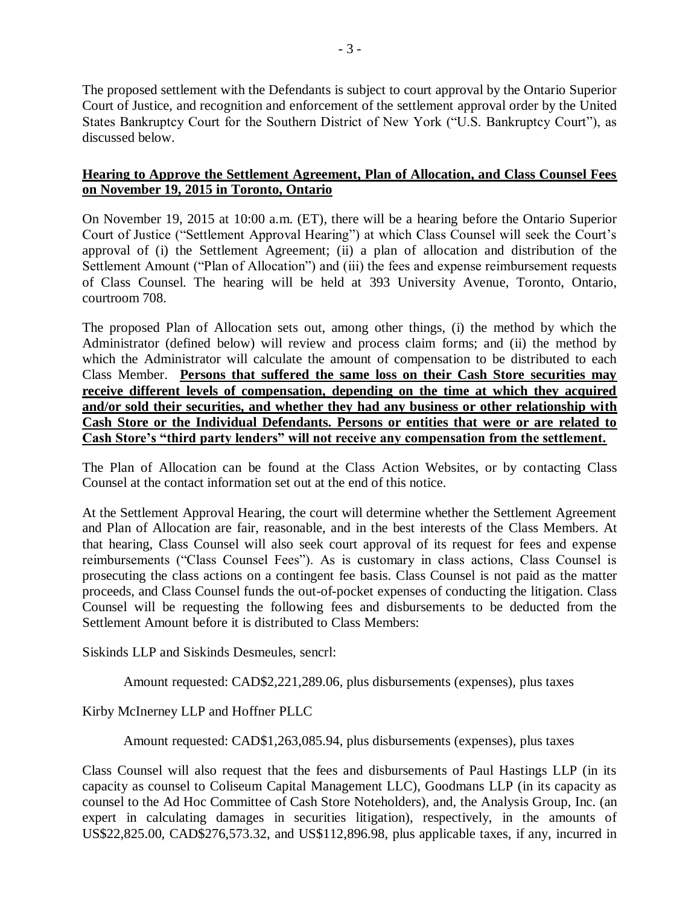The proposed settlement with the Defendants is subject to court approval by the Ontario Superior Court of Justice, and recognition and enforcement of the settlement approval order by the United States Bankruptcy Court for the Southern District of New York ("U.S. Bankruptcy Court"), as discussed below.

## **Hearing to Approve the Settlement Agreement, Plan of Allocation, and Class Counsel Fees on November 19, 2015 in Toronto, Ontario**

On November 19, 2015 at 10:00 a.m. (ET), there will be a hearing before the Ontario Superior Court of Justice ("Settlement Approval Hearing") at which Class Counsel will seek the Court's approval of (i) the Settlement Agreement; (ii) a plan of allocation and distribution of the Settlement Amount ("Plan of Allocation") and (iii) the fees and expense reimbursement requests of Class Counsel. The hearing will be held at 393 University Avenue, Toronto, Ontario, courtroom 708.

The proposed Plan of Allocation sets out, among other things, (i) the method by which the Administrator (defined below) will review and process claim forms; and (ii) the method by which the Administrator will calculate the amount of compensation to be distributed to each Class Member. **Persons that suffered the same loss on their Cash Store securities may receive different levels of compensation, depending on the time at which they acquired and/or sold their securities, and whether they had any business or other relationship with Cash Store or the Individual Defendants. Persons or entities that were or are related to Cash Store's "third party lenders" will not receive any compensation from the settlement.**

The Plan of Allocation can be found at the Class Action Websites, or by contacting Class Counsel at the contact information set out at the end of this notice.

At the Settlement Approval Hearing, the court will determine whether the Settlement Agreement and Plan of Allocation are fair, reasonable, and in the best interests of the Class Members. At that hearing, Class Counsel will also seek court approval of its request for fees and expense reimbursements ("Class Counsel Fees"). As is customary in class actions, Class Counsel is prosecuting the class actions on a contingent fee basis. Class Counsel is not paid as the matter proceeds, and Class Counsel funds the out-of-pocket expenses of conducting the litigation. Class Counsel will be requesting the following fees and disbursements to be deducted from the Settlement Amount before it is distributed to Class Members:

Siskinds LLP and Siskinds Desmeules, sencrl:

Amount requested: CAD\$2,221,289.06, plus disbursements (expenses), plus taxes

Kirby McInerney LLP and Hoffner PLLC

Amount requested: CAD\$1,263,085.94, plus disbursements (expenses), plus taxes

Class Counsel will also request that the fees and disbursements of Paul Hastings LLP (in its capacity as counsel to Coliseum Capital Management LLC), Goodmans LLP (in its capacity as counsel to the Ad Hoc Committee of Cash Store Noteholders), and, the Analysis Group, Inc. (an expert in calculating damages in securities litigation), respectively, in the amounts of US\$22,825.00, CAD\$276,573.32, and US\$112,896.98, plus applicable taxes, if any, incurred in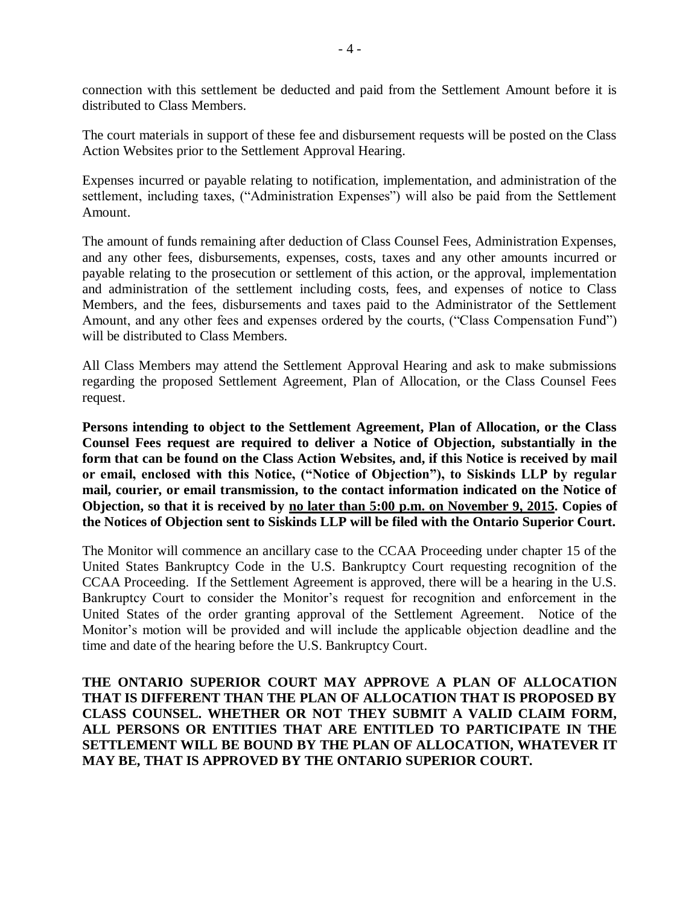connection with this settlement be deducted and paid from the Settlement Amount before it is distributed to Class Members.

The court materials in support of these fee and disbursement requests will be posted on the Class Action Websites prior to the Settlement Approval Hearing.

Expenses incurred or payable relating to notification, implementation, and administration of the settlement, including taxes, ("Administration Expenses") will also be paid from the Settlement Amount.

The amount of funds remaining after deduction of Class Counsel Fees, Administration Expenses, and any other fees, disbursements, expenses, costs, taxes and any other amounts incurred or payable relating to the prosecution or settlement of this action, or the approval, implementation and administration of the settlement including costs, fees, and expenses of notice to Class Members, and the fees, disbursements and taxes paid to the Administrator of the Settlement Amount, and any other fees and expenses ordered by the courts, ("Class Compensation Fund") will be distributed to Class Members.

All Class Members may attend the Settlement Approval Hearing and ask to make submissions regarding the proposed Settlement Agreement, Plan of Allocation, or the Class Counsel Fees request.

**Persons intending to object to the Settlement Agreement, Plan of Allocation, or the Class Counsel Fees request are required to deliver a Notice of Objection, substantially in the form that can be found on the Class Action Websites, and, if this Notice is received by mail or email, enclosed with this Notice, ("Notice of Objection"), to Siskinds LLP by regular mail, courier, or email transmission, to the contact information indicated on the Notice of Objection, so that it is received by no later than 5:00 p.m. on November 9, 2015. Copies of the Notices of Objection sent to Siskinds LLP will be filed with the Ontario Superior Court.** 

The Monitor will commence an ancillary case to the CCAA Proceeding under chapter 15 of the United States Bankruptcy Code in the U.S. Bankruptcy Court requesting recognition of the CCAA Proceeding. If the Settlement Agreement is approved, there will be a hearing in the U.S. Bankruptcy Court to consider the Monitor's request for recognition and enforcement in the United States of the order granting approval of the Settlement Agreement. Notice of the Monitor's motion will be provided and will include the applicable objection deadline and the time and date of the hearing before the U.S. Bankruptcy Court.

**THE ONTARIO SUPERIOR COURT MAY APPROVE A PLAN OF ALLOCATION THAT IS DIFFERENT THAN THE PLAN OF ALLOCATION THAT IS PROPOSED BY CLASS COUNSEL. WHETHER OR NOT THEY SUBMIT A VALID CLAIM FORM, ALL PERSONS OR ENTITIES THAT ARE ENTITLED TO PARTICIPATE IN THE SETTLEMENT WILL BE BOUND BY THE PLAN OF ALLOCATION, WHATEVER IT MAY BE, THAT IS APPROVED BY THE ONTARIO SUPERIOR COURT.**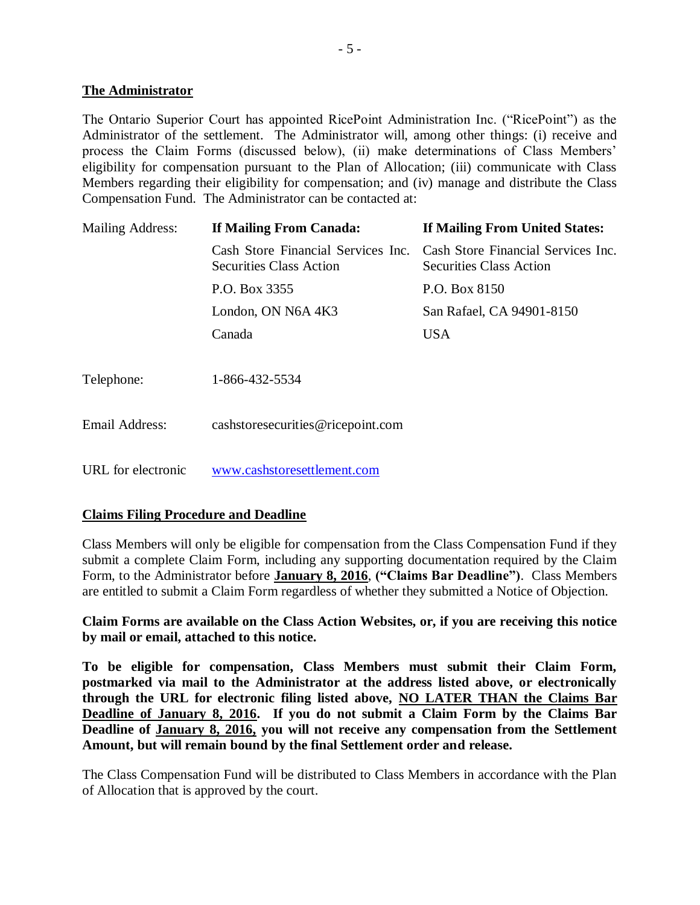## **The Administrator**

The Ontario Superior Court has appointed RicePoint Administration Inc. ("RicePoint") as the Administrator of the settlement. The Administrator will, among other things: (i) receive and process the Claim Forms (discussed below), (ii) make determinations of Class Members' eligibility for compensation pursuant to the Plan of Allocation; (iii) communicate with Class Members regarding their eligibility for compensation; and (iv) manage and distribute the Class Compensation Fund. The Administrator can be contacted at:

| Mailing Address:   | If Mailing From Canada:                                              | If Mailing From United States:                                       |
|--------------------|----------------------------------------------------------------------|----------------------------------------------------------------------|
|                    | Cash Store Financial Services Inc.<br><b>Securities Class Action</b> | Cash Store Financial Services Inc.<br><b>Securities Class Action</b> |
|                    | P.O. Box 3355                                                        | P.O. Box 8150                                                        |
|                    | London, ON N6A 4K3                                                   | San Rafael, CA 94901-8150                                            |
|                    | Canada                                                               | <b>USA</b>                                                           |
| Telephone:         | 1-866-432-5534                                                       |                                                                      |
| Email Address:     | cashstoresecurities@ricepoint.com                                    |                                                                      |
| URL for electronic | www.cashstoresettlement.com                                          |                                                                      |

## **Claims Filing Procedure and Deadline**

Class Members will only be eligible for compensation from the Class Compensation Fund if they submit a complete Claim Form, including any supporting documentation required by the Claim Form, to the Administrator before **January 8, 2016**, **("Claims Bar Deadline")**. Class Members are entitled to submit a Claim Form regardless of whether they submitted a Notice of Objection.

**Claim Forms are available on the Class Action Websites, or, if you are receiving this notice by mail or email, attached to this notice.** 

**To be eligible for compensation, Class Members must submit their Claim Form, postmarked via mail to the Administrator at the address listed above, or electronically through the URL for electronic filing listed above, NO LATER THAN the Claims Bar Deadline of January 8, 2016. If you do not submit a Claim Form by the Claims Bar Deadline of January 8, 2016, you will not receive any compensation from the Settlement Amount, but will remain bound by the final Settlement order and release.** 

The Class Compensation Fund will be distributed to Class Members in accordance with the Plan of Allocation that is approved by the court.